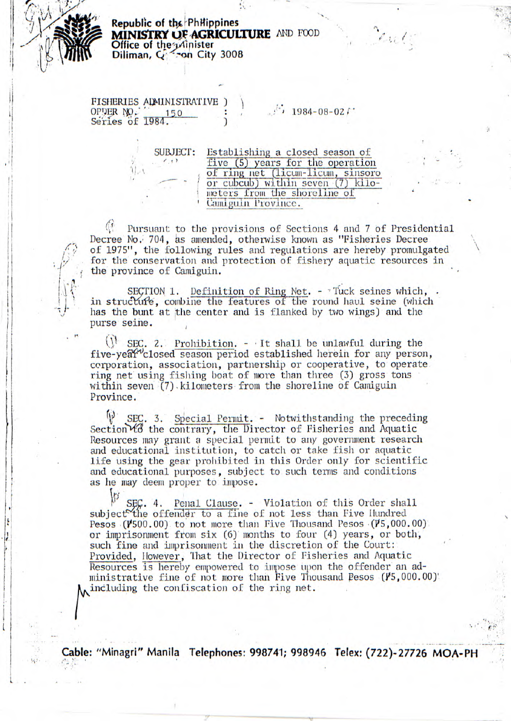

Republic of the Philippines MINISTRY OF AGRICULTURE AND FOOD Office of the adinister Diliman, G. Son City 3008

FISHERIES ADMINISTRATIVE ) OPDER NO. 1  $150$ 

 $1984 - 08 - 021$ 

Establishing a closed season of **SUBJECT:** five (5) years for the operation<br>of ring net (licum-licum, sinsoro<br>or cubcub) within seven (7) kilo- $(1, 1)$ meters from the shoreline of Camiguin Province.

Pursuant to the provisions of Sections 4 and 7 of Presidential Decree No. 704, as amended, otherwise known as "Fisheries Decree of 1975", the following rules and regulations are hereby promulgated for the conservation and protection of fishery aquatic resources in the province of Camiguin.

SECTION 1. Definition of Ring Net. - Tuck seines which, in structure, combine the features of the round haul seine (which has the bunt at the center and is flanked by two wings) and the purse seine.

 $\mathcal{U}$ SEC. 2. Prohibition.  $-$  It shall be unlawful during the five-year<sup>v</sup>closed season period established herein for any person, corporation, association, partnership or cooperative, to operate ring net using fishing boat of more than three (3) gross tons within seven (7) kilometers from the shoreline of Camiguin Province.

 $\mathfrak{h}$ SEC. 3. Special Permit. - Notwithstanding the preceding Section to the contrary, the Director of Fisheries and Aquatic Resources may grant a special permit to any government research and educational institution, to catch or take fish or aquatic life using the gear prohibited in this Order only for scientific and educational purposes, subject to such terms and conditions as he may deem proper to impose.

 $SE, 4.$ Penal Clause. - Violation of this Order shall subject the offender to a fine of not less than Five Hundred Pesos  $(V500.00)$  to not more than Five Thousand Pesos  $(V5,000.00)$ or imprisonment from six (6) months to four (4) years, or both, such fine and imprisonment in the discretion of the Court: Provided, However, That the Director of Fisheries and Aquatic Resources is hereby empowered to impose upon the offender an administrative fine of not more than Five Thousand Pesos (15,000.00). including the confiscation of the ring net.

Cable: "Minagri" Manila Telephones: 998741; 998946 Telex: (722)-27726 MOA-PH